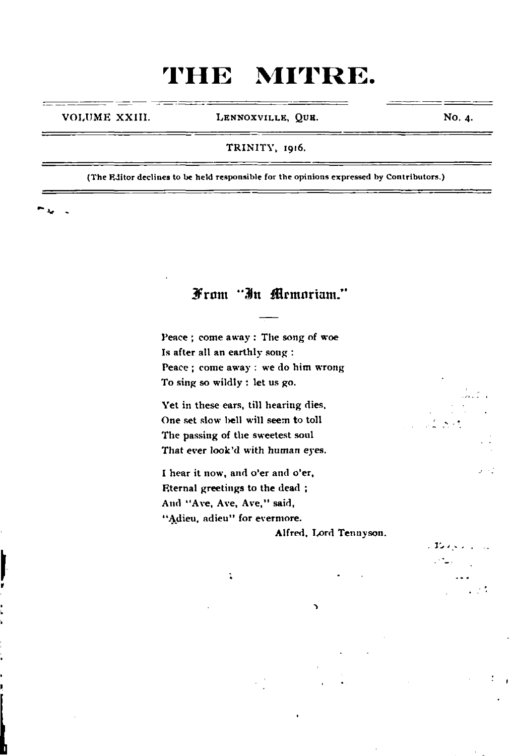VOLUME XXIII. LENNOXVILLE, QUE.

No. 4.

. おいし  $\mathcal{P}_{\text{min}}$ 

 $\pm 5$ 

#### TRINITY, 1916.

(The Editor declines to be held responsible for the opinions expressed by Contributors.)

From "In Memoriam."

Peace ; come away : The song of woe Is after all an earthly song : Peace ; come away : we do him wrong To sing so wildly ; let us go.

Yet in these ears, till hearing dies, One set slow bell will seem to toll The passing of the sweetest soul That ever look'd with human eyes.

I hear it now, and o'er and o'er. Eternal greetings to the dead ; And "Ave, Ave, Ave," said, "Adieu, adieu" for evermore.

 $\ddot{\bullet}$ 

Alfred, Lord Tennyson.

٠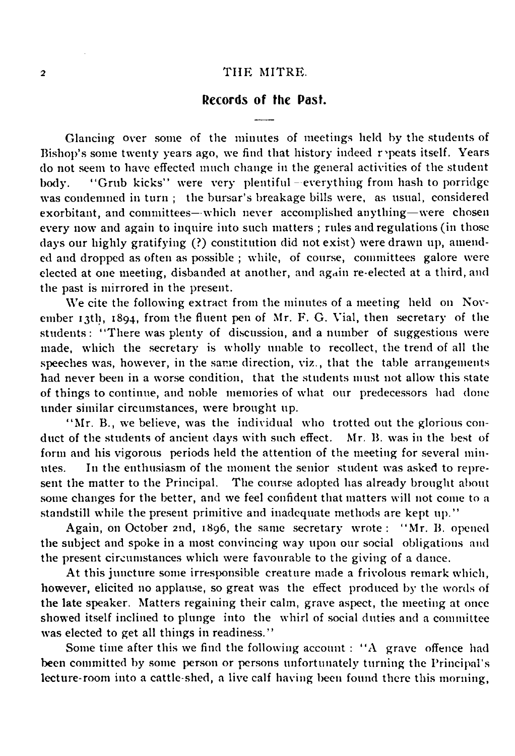#### Records of the Past.

Glancing over some of the minutes of meetings held by the students of Bishop's some twenty years ago, we find that history indeed repeats itself. Years do not seem to have effected much change in the general activities of the student body. "Grub kicks" were very plentiful-everything from hash to porridge was condemned in turn ; the bursar's breakage bills were, as usual, considered exorbitant, and committees—which never accomplished anything—were chosen every now and again to inquire into such matters ; rules and regulations (in those days our highly gratifying (?) constitution did not exist) were drawn up, amended and dropped as often as possible ; while, of course, committees galore were elected at one meeting, disbanded at another, and again re-elected at a third, and the past is mirrored in the present.

We cite the following extract from the minutes of a meeting held on November 13th, 1894, from the fluent pen of Mr. F. G. Vial, then secretary of the students: "There was plenty of discussion, and a number of suggestions were made, which the secretary is wholly unable to recollect, the trend of all the speeches was, however, in the same direction, viz., that the table arrangements had never been in a worse condition, that the students must not allow this state of things to continue, and noble memories of what our predecessors had done under similar circumstances, were brought up.

"Mr. B., we believe, was the individual who trotted out the glorious conduct of the students of ancient days with such effect. Mr. B. was in the best of form and his vigorous periods held the attention of the meeting for several minutes. In the enthusiasm of the moment the senior student was asked to represent the matter to the Principal. The course adopted has already brought about some changes for the better, and we feel confident that matters will not come to a standstill while the present primitive and inadequate methods are kept up."

Again, on October 2nd, 1896, the same secretary wrote : " Mr. B. opened the subject and spoke in a most convincing way upon our social obligations and the present circumstances which were favourable to the giving of a dance.

At this juncture some irresponsible creature made a frivolous remark which, however, elicited no applause, so great was the effect produced by the words of the late speaker. Matters regaining their calm, grave aspect, the meeting at once showed itself inclined to plunge into the whirl of social duties and a committee was elected to get all things in readiness."

Some time after this we find the following account : "A grave offence had been committed by some person or persons unfortunately turning the Principal's lecture-room into a cattle-shed, a live calf having been found there this morning,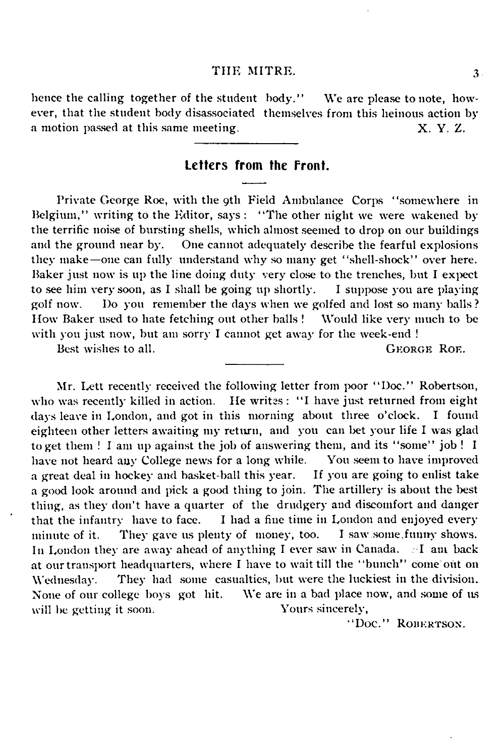hence the calling together of the student body." We are please to note, however, that the student body disassociated themselves from this heinous action by a motion passed at this same meeting. X. Y. Z.

#### Letters from the front.

Private George Roe, with the 9th Field Ambulance Corps "somewhere in Belgium," writing to the Editor, says : "The other night we were wakened by the terrific noise of bursting shells, which almost seemed to drop on our buildings<br>and the ground near by. One cannot adequately describe the fearful explosions One cannot adequately describe the fearful explosions they make—one can fully understand why so many get "shell-shock" over here. Baker just now is up the line doing duty very close to the trenches, but I expect to see him very soon, as I shall be going up shortly. I suppose you are playing golf now. Do you remember the days when we golfed and lost so many balls ? How Baker used to hate fetching out other balls ! Would like very much to be with you just now, but am sorry I cannot get away for the week-end !

Best wishes to all. GEORGE ROE.

Mr. Lett recently received the following letter from poor " Doc." Robertson, who was recently killed in action. He writes: "I have just returned from eight days leave in London, and got in this morning about three o'clock. I found eighteen other letters awaiting my return, and you can bet your life I was glad to get them ! I am up against the job of answering them, and its "some" job ! I have not heard any College news for a long while. You seem to have improved have not heard any College news for a long while. a great deal in hockey and basket-ball this year. If you are going to enlist take a good look around and pick a good thing to join. The artillery is about the best thing, as they don't have a quarter of the drudgery and discomfort and danger that the infantry have to face. I had a fine time in London and enjoyed every I had a fine time in London and enjoyed every<br>nty of money, too. I saw some funny shows. minute of it. They gave us plenty of money, too. In London they are away ahead of anything I ever saw in Canada. I am back at our transport headquarters, where I have to wait till the "bunch" come out on Wednesday. They had some casualties, but were the luckiest in the division. None of our college boys got hit. We are in a bad place now, and some of us will be getting it soon. Yours sincerely,

"Doc." ROBERTSON.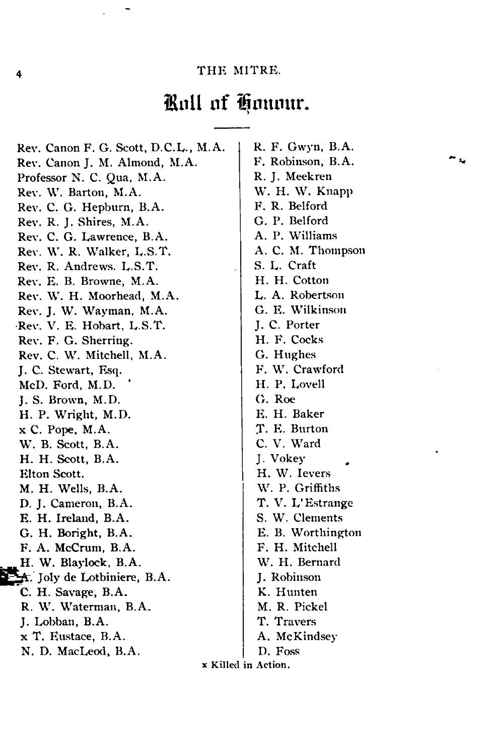### Roll of Honour.

Rev. Canon F. G. Scott, D.C.L., M.A. Rev. Canon J. M. Almond, M.A. Professor N. C. Qua, M.A. Rev. W. Barton, M.A. Rev. C. G. Hepburn, B.A. Rev. R. J. Shires, M.A. Rev. C. G. Lawrence, B.A. Rev. W. R. Walker, L.S.T. Rev. R. Andrews. L .S.T . Rev. E. B. Browne, M.A. Rev. W. H. Moorhead, M.A. Rev. J. W. Wayman, M.A. Rev. V. E. Hobart, L.S.T. Rev. F. G. Sherring. Rev. C. W. Mitchell, M.A. J. C. Stewart, Esq. McD. Ford, M.D. J. S. Brown, M.D. H. P. Wright, M.D. x C. Pope, M.A. W. B. Scott, B.A. H. H. Scott, B.A. Elton Scott. M. H. Wells, B.A. D. J. Cameron, B.A. E. H. Ireland, B.A. G. H. Boright, B.A. F. A. McCrum, B.A. H. W. Blaylock, B.A.  $\bigstar$ . Joly de Lotbiniere, B.A. C. H. Savage, B.A. R. W. Waterman, B.A. J. Lobban, B.A. x T. Eustace, B.A. N. D. MacLeod, B.A.

R. F. Gwyn, B.A. F. Robinson, B.A. R. J. Meekren W. H. W. Knapp F. R. Belford G. P. Belford A. P. Williams A. C. M. Thompson S. L. Craft H. H. Cotton L. A. Robertson G. E. Wilkinson J. C. Porter H. F. Cocks G. Hughes F. W. Crawford H. P. Lovell G. Roe E. H. Baker T. E. Burton C. V. Ward J. Vokey H. W. Ievers W. P. Griffiths T. V. L'Estrange S. W. Clements E. B. Worthington F. H. Mitchell W. H. Bernard J. Robinson K. Hunten M. R. Pickel T. Travers A. McKindsey D. Foss

x Killed in Action.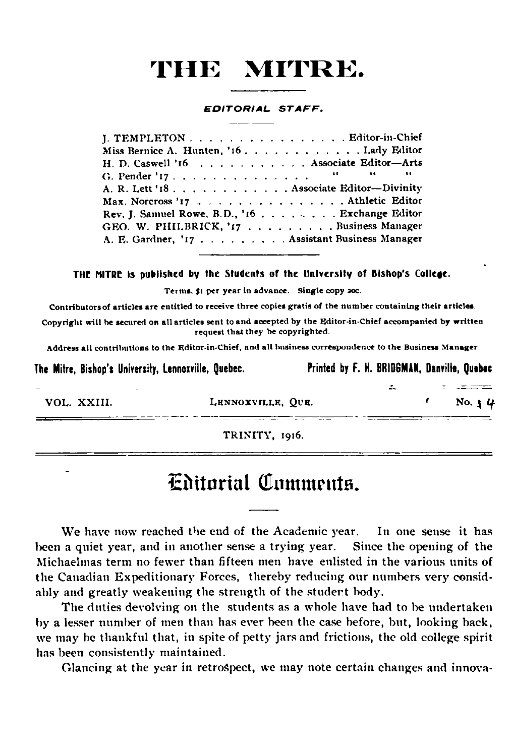**EDITORIAL STAFF.** 

| J. TEMPLETON Editor-in-Chief                   |  |
|------------------------------------------------|--|
| Miss Bernice A. Hunten, '16. Lady Editor       |  |
| H. D. Caswell '16 Associate Editor-Arts        |  |
|                                                |  |
| A. R. Lett '18. Associate Editor-Divinity      |  |
| Max. Norcross '17 Athletic Editor              |  |
| Rev. J. Samuel Rowe, B.D., '16 Exchange Editor |  |
| GEO. W. PHILBRICK, '17 Business Manager        |  |
| A. E. Gardner, '17 Assistant Business Manager  |  |
|                                                |  |

THE MITRE is published by the Students of the University of Bishop's College.

Terms, \$1 per year in advance. Single copy aoc.

Contributors of articles are entitled to receive three copies gratis of the number containing their articles.

Copyright will he secured on all articles sent to and accepted by the Editor-in-Chief accompanied by written request that they be copyrighted.

Address all contributions to the Editor-in-Chief, and all business correspondence to the Business Manager.

| The Mitre, Bishop's University, Lennoxville, Quebec. |                   | Printed by F. H. BRIDGMAN, Danville, Quebec |                     |
|------------------------------------------------------|-------------------|---------------------------------------------|---------------------|
|                                                      |                   |                                             |                     |
| VOL. XXIII.                                          | LENNOXVILLE, OUE. |                                             | No. $\frac{1}{2}$ 4 |
|                                                      |                   |                                             |                     |

TRINITY, 1916.

### **Editorial Comments.**

We have now reached the end of the Academic year. In one sense it has been a quiet year, and in another sense a trying year. Since the opening of the Michaelmas term no fewer than fifteen men have enlisted in the various units of the Canadian Expeditionary Forces, thereby reducing our numbers very considably and greatly weakening the strength of the student body.

The duties devolving on the students as a whole have had to be undertaken by a lesser number of men than has ever been the case before, but, looking back, we may be thankful that, in spite of petty jars and frictions, the old college spirit has been consistently maintained.

Glancing at the year in retrospect, we may note certain changes and innova-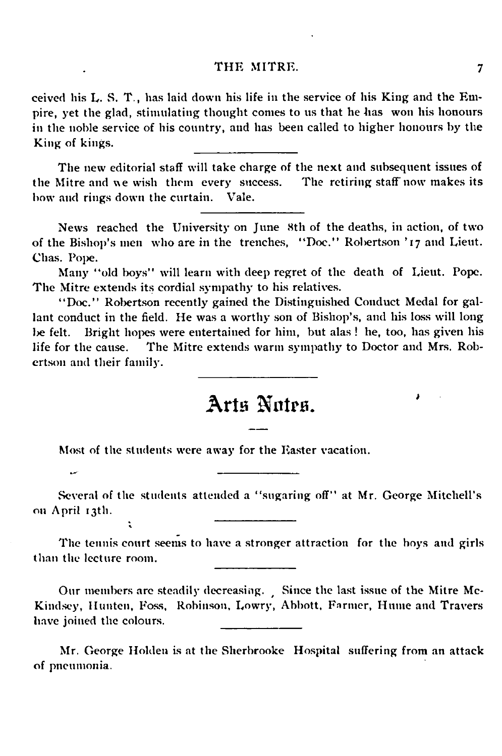ceived his L. S. T., has laid down his life in the service of his King and the Empire, yet the glad, stimulating thought comes to us that he has won his honours in the noble service of his country, and has been called to higher honours by the King of kings.

The new editorial staff will take charge of the next and subsequent issues of the Mitre and we wish them every success. The retiring staff now makes its bow and rings down the curtain. Vale.

News reached the University on June 8th of the deaths, in action, of two of the Bishop's men who are in the trenches, " Doc." Robertson '17 and Lieut. Chas. Pope.

Many "old boys" will learn with deep regret of the death of Lieut. Pope. The Mitre extends its cordial sympathy to his relatives.

" Doc." Robertson recently gained the Distinguished Conduct Medal for gallant conduct in the field. He was a worthy son of Bishop's, and his loss will long be felt. Bright hopes were entertained for him, but alas ! he, too, has given his life for the cause. The Mitre extends warm sympathy to Doctor and Mrs. Robertson and their family.

### **Arts Notes.**

Most of the students were away for the Easter vacation.

سد

÷.

Several of the students attended a " sugaring off" at Mr. George Mitchell's on April 13th.

The tennis court seems to have a stronger attraction for the boys and girls than the lecture room.

Our members are steadily decreasing. Since the last issue of the Mitre Mc-Kindsey, Hunten, Foss, Robinson, Lowry, Abbott, Farmer, Hume and Travers have joined the colours.

Mr. George Holden is at the Sherbrooke Hospital suffering from an attack of pneumonia.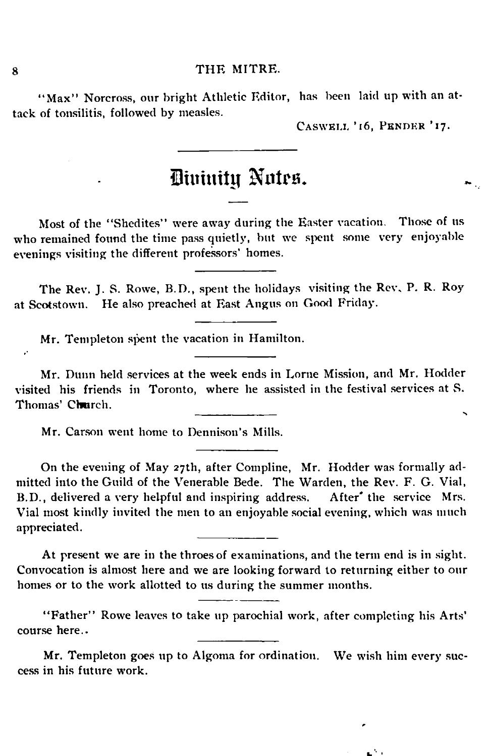"Max" Norcross, our bright Athletic Editor, has been laid up with an attack of tonsilitis, followed by measles.

CASWELL '16, PENDER '17.

### **Divinity Notes**

Most of the "Shedites" were away during the Easter vacation. Those of us who remained found the time pass quietly, but we spent some very enjoyable evenings visiting the different professors' homes.

The Rev. J. S. Rowe, B.D., spent the holidays visiting the Rev, P. R. Roy at Scotstown. He also preached at East Angus on Good Friday.

Mr. Templeton spent the vacation in Hamilton.

Mr. Dunn held services at the week ends in Lome Mission, and Mr. Hodder visited his friends in Toronto, where he assisted in the festival services at S. Thomas' Church.

Mr. Carson went home to Dennison's Mills.

On the evening of May 27th, after Compline, Mr. Hodder was formally admitted into the Guild of the Venerable Bede. The Warden, the Rev. F. G. Vial, B.D., delivered a very helpful and inspiring address. After' the service Mrs. Vial most kindly invited the men to an enjoyable social evening, which was much appreciated.

At present we are in the throes of examinations, and the term end is in sight. Convocation is almost here and we are looking forward to returning either to our homes or to the work allotted to us during the summer months.

"Father" Rowe leaves to take up parochial work, after completing his Arts' course here..

Mr. Templeton goes up to Algoma for ordination. We wish him every success in his future work.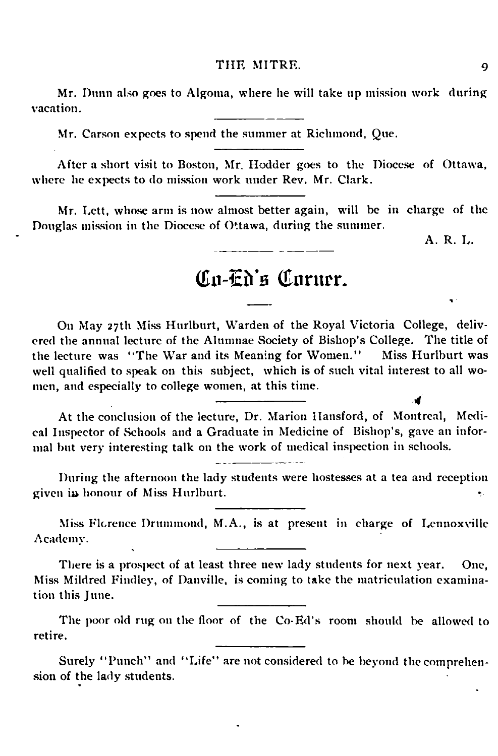Mr. Dunn also goes to Algoma, where he will take up mission work during vacation.

Mr. Carson expects to spend the summer at Richmond, Que.

After a short visit to Boston, Mr. Hodder goes to the Diocese of Ottawa, where he expects to do mission work under Rev. Mr. Clark.

Mr. Lett, whose arm is now almost better again, will be in charge of the Douglas mission in the Diocese of Ottawa, during the summer.

A. R. L.

### Co-Th's Corner.

On May 27th Miss Hurlburt, Warden of the Royal Victoria College, delivered the annual lecture of the Alumnae Society of Bishop's College. The title of the lecture was "The War and its Meaning for Women." Miss Hurlburt was the lecture was "The War and its Meaning for Women." well qualified to speak on this subject, which is of such vital interest to all wo men, and especially to college women, at this time.

At the conclusion of the lecture, Dr. Marion Hansford, of Montreal, Medical Inspector of Schools and a Graduate in Medicine of Bishop's, gave an informal but very interesting talk on the work of medical inspection in schools.

-------------------------- *4*

During the afternoon the lady students were hostesses at a tea and reception given in honour of Miss Hurlburt.

Miss Florence Drummond, M.A., is at present in charge of Lennoxville Academy.

There is a prospect of at least three new lady students for next year. One, Miss Mildred Findley, of Danville, is coming to take the matriculation examination this June.

The poor old rug on the floor of the Co-Ed's room should be allowed to retire.

Surely "Punch" and "Life" are not considered to be beyond the comprehension of the lady students.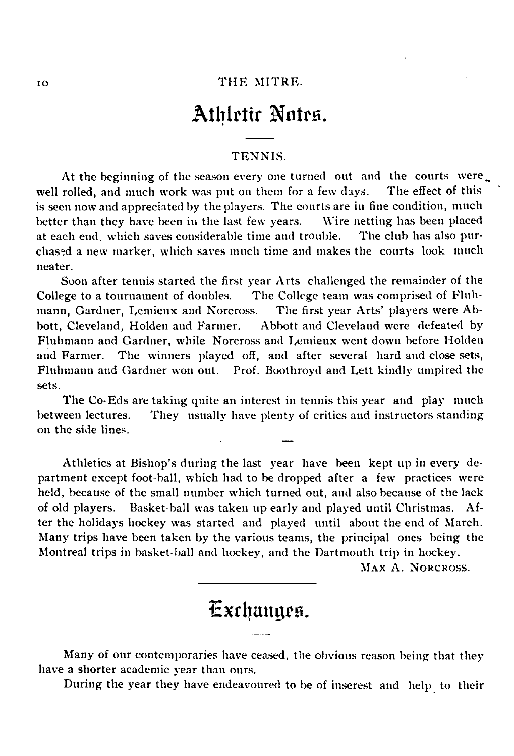### **Athletic Notes.**

#### TENNIS.

At the beginning of the season every one turned out and the courts were rolled, and much work was put on them for a few days. The effect of this well rolled, and much work was put on them for a few days. is seen now and appreciated by the players. The courts are in fine condition, much better than they have been in the last few years. Wire netting has been placed better than they have been in the last few years. Wire netting has been placed at each end which saves considerable time and trouble. The club has also purat each end which saves considerable time and trouble. chased a new marker, which saves much time and makes the courts look much neater.

Soon after tennis started the first year Arts challenged the remainder of the College to a tournament of doubles. The College team was comprised of Fluh-<br>mann, Gardner, Lemieux and Norcross. The first year Arts' players were Abmann, Gardner, Lemieux and Norcross. bott, Cleveland, Holden and Farmer. Abbott and Cleveland were defeated by Fluhmann and Gardner, while Norcross and Lemieux went down before Holden and Farmer. The winners played off, and after several hard and close sets, Fluhmann and Gardner won out. Prof. Boothroyd and Lett kindly umpired the sets.

The Co-Eds are taking quite an interest in tennis this year and play much between lectures. They usually have plenty of critics and instructors standing on the side lines.

Athletics at Bishop's during the last year have been kept up in every department except foot-ball, which had to be dropped after a few practices were held, because of the small number which turned out, and also because of the lack of old players. Basket-ball was taken up early and played until Christmas. A fter the holidays hockey was started and played until about the end of March. Many trips have been taken by the various teams, the principal ones being the Montreal trips in basket-ball and hockey, and the Dartmouth trip in hockey.

Max A. Norcross.

### Exchanges.

Many of our contemporaries have ceased, the obvious reason being that they have a shorter academic year than ours.

During the year they have endeavoured to be of inserest and help to their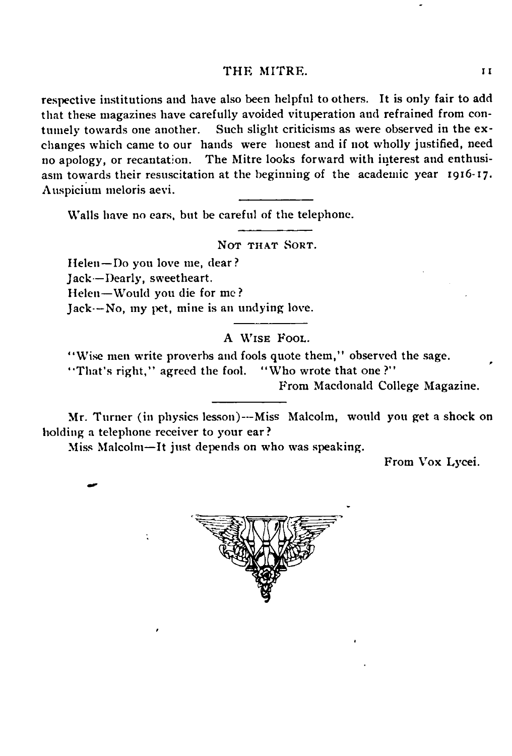respective institutions and have also been helpful to others. It is only fair to add that these magazines have carefully avoided vituperation and refrained from contumely towards one another. Such slight criticisms as were observed in the exchanges which came to our hands were honest and if not wholly justified, need no apology, or recantation. The Mitre looks forward with interest and enthusiasm towards their resuscitation at the beginning of the academic year 1916-17. Auspicium meloris aevi.

Walls have no ears, but be careful of the telephone.

Not that Sort.

Helen—Do you love me, dear? Jack—Dearly, sweetheart. Helen—Would you die for me? Jack—No, my pet, mine is an undying love.

#### A WISE FOOL.

' 'Wise men write proverbs and fools quote them," observed the sage.

"That's right," agreed the fool. "Who wrote that one?"

From Macdonald College Magazine.

Mr. Turner (in physics lesson)—Miss Malcolm, would you get a shock on holding a telephone receiver to your ear ?

Miss Malcolm-It just depends on who was speaking.

From Vox Lycei.



**11**